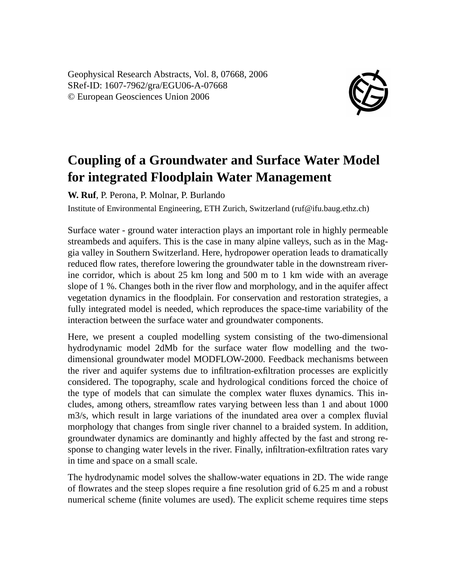Geophysical Research Abstracts, Vol. 8, 07668, 2006 SRef-ID: 1607-7962/gra/EGU06-A-07668 © European Geosciences Union 2006



## **Coupling of a Groundwater and Surface Water Model for integrated Floodplain Water Management**

**W. Ruf**, P. Perona, P. Molnar, P. Burlando

Institute of Environmental Engineering, ETH Zurich, Switzerland (ruf@ifu.baug.ethz.ch)

Surface water - ground water interaction plays an important role in highly permeable streambeds and aquifers. This is the case in many alpine valleys, such as in the Maggia valley in Southern Switzerland. Here, hydropower operation leads to dramatically reduced flow rates, therefore lowering the groundwater table in the downstream riverine corridor, which is about 25 km long and 500 m to 1 km wide with an average slope of 1 %. Changes both in the river flow and morphology, and in the aquifer affect vegetation dynamics in the floodplain. For conservation and restoration strategies, a fully integrated model is needed, which reproduces the space-time variability of the interaction between the surface water and groundwater components.

Here, we present a coupled modelling system consisting of the two-dimensional hydrodynamic model 2dMb for the surface water flow modelling and the twodimensional groundwater model MODFLOW-2000. Feedback mechanisms between the river and aquifer systems due to infiltration-exfiltration processes are explicitly considered. The topography, scale and hydrological conditions forced the choice of the type of models that can simulate the complex water fluxes dynamics. This includes, among others, streamflow rates varying between less than 1 and about 1000 m3/s, which result in large variations of the inundated area over a complex fluvial morphology that changes from single river channel to a braided system. In addition, groundwater dynamics are dominantly and highly affected by the fast and strong response to changing water levels in the river. Finally, infiltration-exfiltration rates vary in time and space on a small scale.

The hydrodynamic model solves the shallow-water equations in 2D. The wide range of flowrates and the steep slopes require a fine resolution grid of 6.25 m and a robust numerical scheme (finite volumes are used). The explicit scheme requires time steps